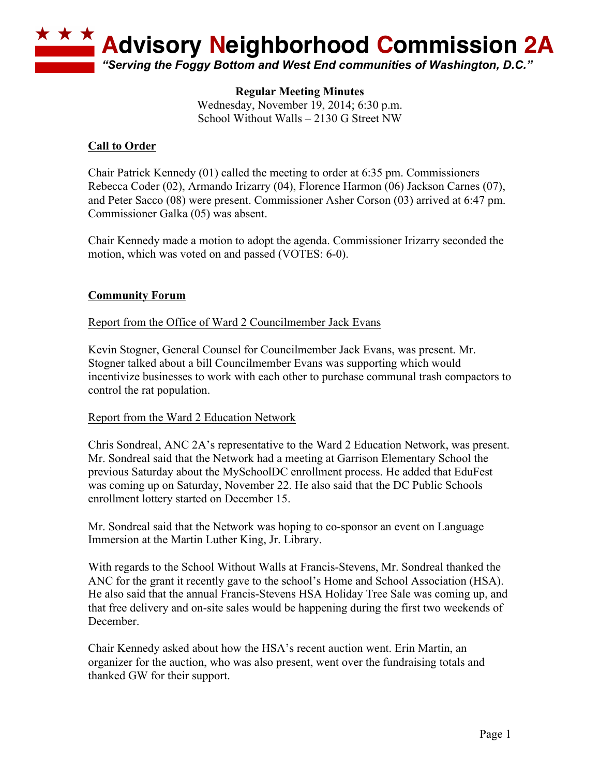

### **Regular Meeting Minutes**

Wednesday, November 19, 2014; 6:30 p.m. School Without Walls – 2130 G Street NW

#### **Call to Order**

Chair Patrick Kennedy (01) called the meeting to order at 6:35 pm. Commissioners Rebecca Coder (02), Armando Irizarry (04), Florence Harmon (06) Jackson Carnes (07), and Peter Sacco (08) were present. Commissioner Asher Corson (03) arrived at 6:47 pm. Commissioner Galka (05) was absent.

Chair Kennedy made a motion to adopt the agenda. Commissioner Irizarry seconded the motion, which was voted on and passed (VOTES: 6-0).

### **Community Forum**

#### Report from the Office of Ward 2 Councilmember Jack Evans

Kevin Stogner, General Counsel for Councilmember Jack Evans, was present. Mr. Stogner talked about a bill Councilmember Evans was supporting which would incentivize businesses to work with each other to purchase communal trash compactors to control the rat population.

#### Report from the Ward 2 Education Network

Chris Sondreal, ANC 2A's representative to the Ward 2 Education Network, was present. Mr. Sondreal said that the Network had a meeting at Garrison Elementary School the previous Saturday about the MySchoolDC enrollment process. He added that EduFest was coming up on Saturday, November 22. He also said that the DC Public Schools enrollment lottery started on December 15.

Mr. Sondreal said that the Network was hoping to co-sponsor an event on Language Immersion at the Martin Luther King, Jr. Library.

With regards to the School Without Walls at Francis-Stevens, Mr. Sondreal thanked the ANC for the grant it recently gave to the school's Home and School Association (HSA). He also said that the annual Francis-Stevens HSA Holiday Tree Sale was coming up, and that free delivery and on-site sales would be happening during the first two weekends of December.

Chair Kennedy asked about how the HSA's recent auction went. Erin Martin, an organizer for the auction, who was also present, went over the fundraising totals and thanked GW for their support.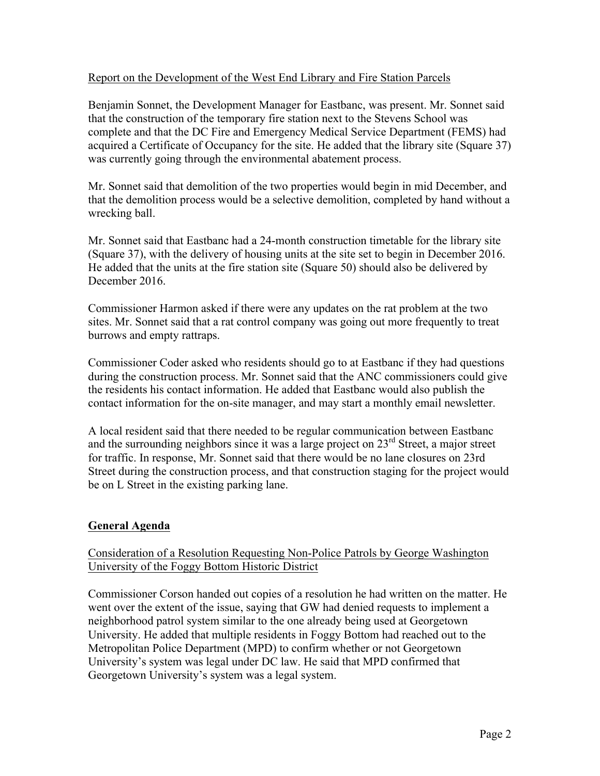### Report on the Development of the West End Library and Fire Station Parcels

Benjamin Sonnet, the Development Manager for Eastbanc, was present. Mr. Sonnet said that the construction of the temporary fire station next to the Stevens School was complete and that the DC Fire and Emergency Medical Service Department (FEMS) had acquired a Certificate of Occupancy for the site. He added that the library site (Square 37) was currently going through the environmental abatement process.

Mr. Sonnet said that demolition of the two properties would begin in mid December, and that the demolition process would be a selective demolition, completed by hand without a wrecking ball.

Mr. Sonnet said that Eastbanc had a 24-month construction timetable for the library site (Square 37), with the delivery of housing units at the site set to begin in December 2016. He added that the units at the fire station site (Square 50) should also be delivered by December 2016.

Commissioner Harmon asked if there were any updates on the rat problem at the two sites. Mr. Sonnet said that a rat control company was going out more frequently to treat burrows and empty rattraps.

Commissioner Coder asked who residents should go to at Eastbanc if they had questions during the construction process. Mr. Sonnet said that the ANC commissioners could give the residents his contact information. He added that Eastbanc would also publish the contact information for the on-site manager, and may start a monthly email newsletter.

A local resident said that there needed to be regular communication between Eastbanc and the surrounding neighbors since it was a large project on  $23<sup>rd</sup>$  Street, a major street for traffic. In response, Mr. Sonnet said that there would be no lane closures on 23rd Street during the construction process, and that construction staging for the project would be on L Street in the existing parking lane.

#### **General Agenda**

## Consideration of a Resolution Requesting Non-Police Patrols by George Washington University of the Foggy Bottom Historic District

Commissioner Corson handed out copies of a resolution he had written on the matter. He went over the extent of the issue, saying that GW had denied requests to implement a neighborhood patrol system similar to the one already being used at Georgetown University. He added that multiple residents in Foggy Bottom had reached out to the Metropolitan Police Department (MPD) to confirm whether or not Georgetown University's system was legal under DC law. He said that MPD confirmed that Georgetown University's system was a legal system.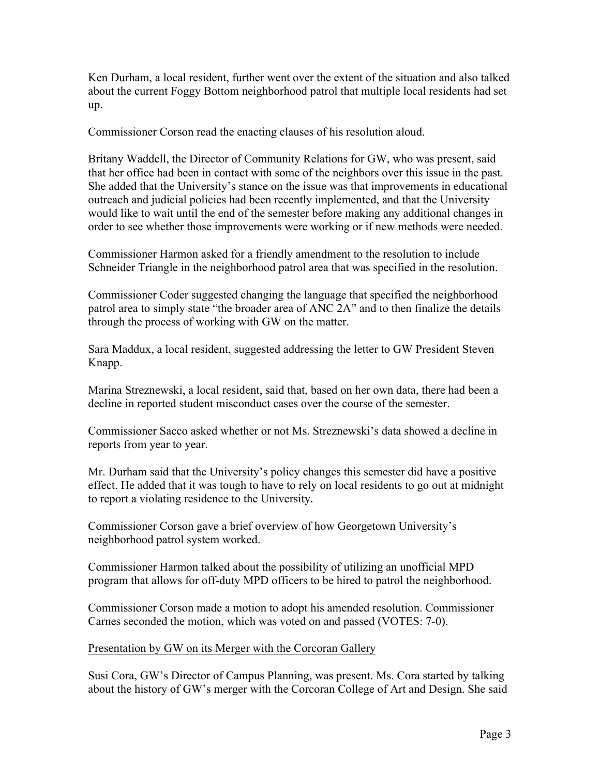Ken Durham, a local resident, further went over the extent of the situation and also talked about the current Foggy Bottom neighborhood patrol that multiple local residents had set up.

Commissioner Corson read the enacting clauses of his resolution aloud.

Britany Waddell, the Director of Community Relations for GW, who was present, said that her office had been in contact with some of the neighbors over this issue in the past. She added that the University's stance on the issue was that improvements in educational outreach and judicial policies had been recently implemented, and that the University would like to wait until the end of the semester before making any additional changes in order to see whether those improvements were working or if new methods were needed.

Commissioner Harmon asked for a friendly amendment to the resolution to include Schneider Triangle in the neighborhood patrol area that was specified in the resolution.

Commissioner Coder suggested changing the language that specified the neighborhood patrol area to simply state "the broader area of ANC 2A" and to then finalize the details through the process of working with GW on the matter.

Sara Maddux, a local resident, suggested addressing the letter to GW President Steven Knapp.

Marina Streznewski, a local resident, said that, based on her own data, there had been a decline in reported student misconduct cases over the course of the semester.

Commissioner Sacco asked whether or not Ms. Streznewski's data showed a decline in reports from year to year.

Mr. Durham said that the University's policy changes this semester did have a positive effect. He added that it was tough to have to rely on local residents to go out at midnight to report a violating residence to the University.

Commissioner Corson gave a brief overview of how Georgetown University's neighborhood patrol system worked.

Commissioner Harmon talked about the possibility of utilizing an unofficial MPD program that allows for off-duty MPD officers to be hired to patrol the neighborhood.

Commissioner Corson made a motion to adopt his amended resolution. Commissioner Carnes seconded the motion, which was voted on and passed (VOTES: 7-0).

#### Presentation by GW on its Merger with the Corcoran Gallery

Susi Cora, GW's Director of Campus Planning, was present. Ms. Cora started by talking about the history of GW's merger with the Corcoran College of Art and Design. She said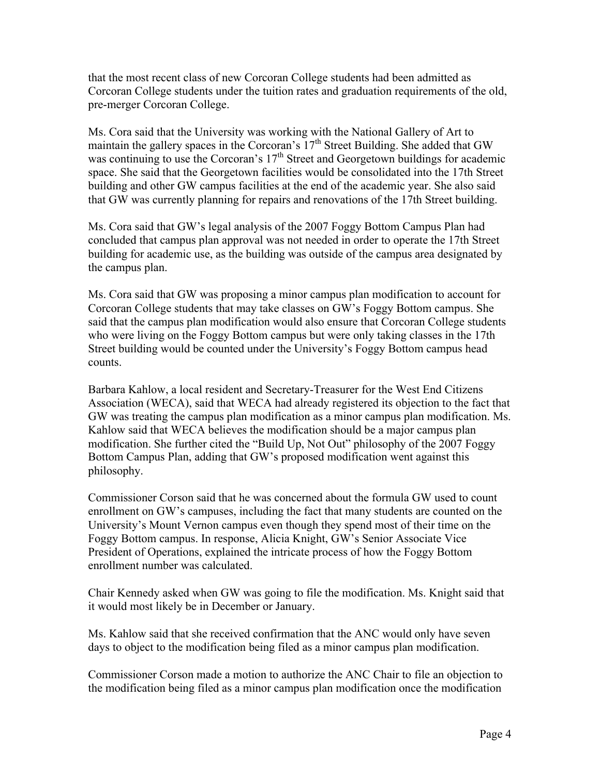that the most recent class of new Corcoran College students had been admitted as Corcoran College students under the tuition rates and graduation requirements of the old, pre-merger Corcoran College.

Ms. Cora said that the University was working with the National Gallery of Art to maintain the gallery spaces in the Corcoran's  $17<sup>th</sup>$  Street Building. She added that GW was continuing to use the Corcoran's  $17<sup>th</sup>$  Street and Georgetown buildings for academic space. She said that the Georgetown facilities would be consolidated into the 17th Street building and other GW campus facilities at the end of the academic year. She also said that GW was currently planning for repairs and renovations of the 17th Street building.

Ms. Cora said that GW's legal analysis of the 2007 Foggy Bottom Campus Plan had concluded that campus plan approval was not needed in order to operate the 17th Street building for academic use, as the building was outside of the campus area designated by the campus plan.

Ms. Cora said that GW was proposing a minor campus plan modification to account for Corcoran College students that may take classes on GW's Foggy Bottom campus. She said that the campus plan modification would also ensure that Corcoran College students who were living on the Foggy Bottom campus but were only taking classes in the 17th Street building would be counted under the University's Foggy Bottom campus head counts.

Barbara Kahlow, a local resident and Secretary-Treasurer for the West End Citizens Association (WECA), said that WECA had already registered its objection to the fact that GW was treating the campus plan modification as a minor campus plan modification. Ms. Kahlow said that WECA believes the modification should be a major campus plan modification. She further cited the "Build Up, Not Out" philosophy of the 2007 Foggy Bottom Campus Plan, adding that GW's proposed modification went against this philosophy.

Commissioner Corson said that he was concerned about the formula GW used to count enrollment on GW's campuses, including the fact that many students are counted on the University's Mount Vernon campus even though they spend most of their time on the Foggy Bottom campus. In response, Alicia Knight, GW's Senior Associate Vice President of Operations, explained the intricate process of how the Foggy Bottom enrollment number was calculated.

Chair Kennedy asked when GW was going to file the modification. Ms. Knight said that it would most likely be in December or January.

Ms. Kahlow said that she received confirmation that the ANC would only have seven days to object to the modification being filed as a minor campus plan modification.

Commissioner Corson made a motion to authorize the ANC Chair to file an objection to the modification being filed as a minor campus plan modification once the modification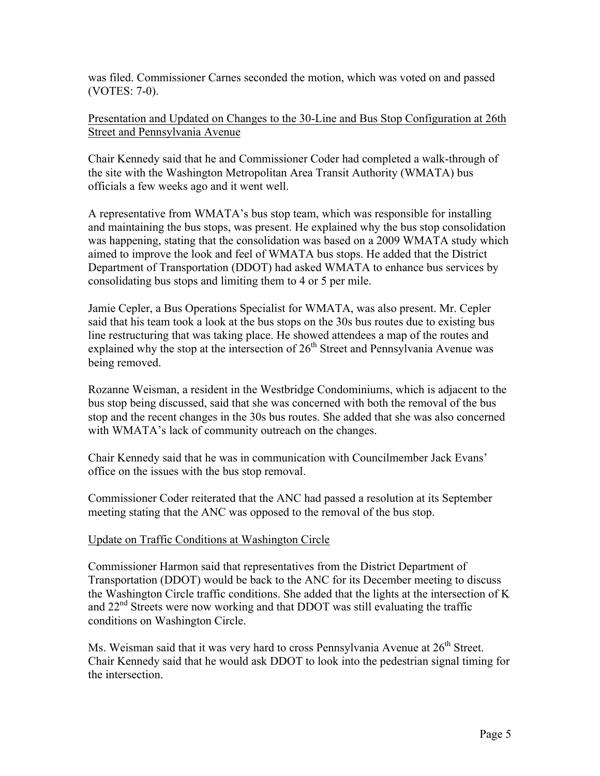was filed. Commissioner Carnes seconded the motion, which was voted on and passed (VOTES: 7-0).

Presentation and Updated on Changes to the 30-Line and Bus Stop Configuration at 26th Street and Pennsylvania Avenue

Chair Kennedy said that he and Commissioner Coder had completed a walk-through of the site with the Washington Metropolitan Area Transit Authority (WMATA) bus officials a few weeks ago and it went well.

A representative from WMATA's bus stop team, which was responsible for installing and maintaining the bus stops, was present. He explained why the bus stop consolidation was happening, stating that the consolidation was based on a 2009 WMATA study which aimed to improve the look and feel of WMATA bus stops. He added that the District Department of Transportation (DDOT) had asked WMATA to enhance bus services by consolidating bus stops and limiting them to 4 or 5 per mile.

Jamie Cepler, a Bus Operations Specialist for WMATA, was also present. Mr. Cepler said that his team took a look at the bus stops on the 30s bus routes due to existing bus line restructuring that was taking place. He showed attendees a map of the routes and explained why the stop at the intersection of  $26<sup>th</sup>$  Street and Pennsylvania Avenue was being removed.

Rozanne Weisman, a resident in the Westbridge Condominiums, which is adjacent to the bus stop being discussed, said that she was concerned with both the removal of the bus stop and the recent changes in the 30s bus routes. She added that she was also concerned with WMATA's lack of community outreach on the changes.

Chair Kennedy said that he was in communication with Councilmember Jack Evans' office on the issues with the bus stop removal.

Commissioner Coder reiterated that the ANC had passed a resolution at its September meeting stating that the ANC was opposed to the removal of the bus stop.

#### Update on Traffic Conditions at Washington Circle

Commissioner Harmon said that representatives from the District Department of Transportation (DDOT) would be back to the ANC for its December meeting to discuss the Washington Circle traffic conditions. She added that the lights at the intersection of K and  $22<sup>nd</sup>$  Streets were now working and that DDOT was still evaluating the traffic conditions on Washington Circle.

Ms. Weisman said that it was very hard to cross Pennsylvania Avenue at  $26<sup>th</sup>$  Street. Chair Kennedy said that he would ask DDOT to look into the pedestrian signal timing for the intersection.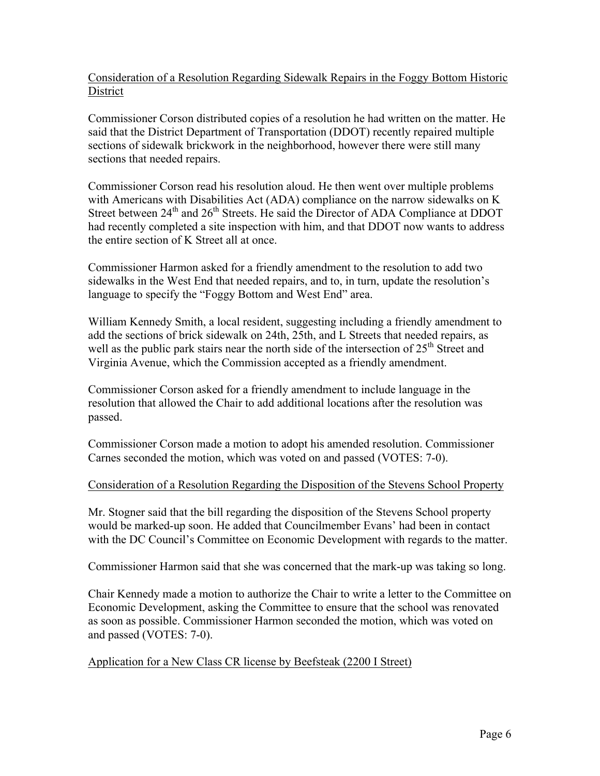Consideration of a Resolution Regarding Sidewalk Repairs in the Foggy Bottom Historic District

Commissioner Corson distributed copies of a resolution he had written on the matter. He said that the District Department of Transportation (DDOT) recently repaired multiple sections of sidewalk brickwork in the neighborhood, however there were still many sections that needed repairs.

Commissioner Corson read his resolution aloud. He then went over multiple problems with Americans with Disabilities Act (ADA) compliance on the narrow sidewalks on K Street between 24<sup>th</sup> and 26<sup>th</sup> Streets. He said the Director of ADA Compliance at DDOT had recently completed a site inspection with him, and that DDOT now wants to address the entire section of K Street all at once.

Commissioner Harmon asked for a friendly amendment to the resolution to add two sidewalks in the West End that needed repairs, and to, in turn, update the resolution's language to specify the "Foggy Bottom and West End" area.

William Kennedy Smith, a local resident, suggesting including a friendly amendment to add the sections of brick sidewalk on 24th, 25th, and L Streets that needed repairs, as well as the public park stairs near the north side of the intersection of  $25<sup>th</sup>$  Street and Virginia Avenue, which the Commission accepted as a friendly amendment.

Commissioner Corson asked for a friendly amendment to include language in the resolution that allowed the Chair to add additional locations after the resolution was passed.

Commissioner Corson made a motion to adopt his amended resolution. Commissioner Carnes seconded the motion, which was voted on and passed (VOTES: 7-0).

## Consideration of a Resolution Regarding the Disposition of the Stevens School Property

Mr. Stogner said that the bill regarding the disposition of the Stevens School property would be marked-up soon. He added that Councilmember Evans' had been in contact with the DC Council's Committee on Economic Development with regards to the matter.

Commissioner Harmon said that she was concerned that the mark-up was taking so long.

Chair Kennedy made a motion to authorize the Chair to write a letter to the Committee on Economic Development, asking the Committee to ensure that the school was renovated as soon as possible. Commissioner Harmon seconded the motion, which was voted on and passed (VOTES: 7-0).

## Application for a New Class CR license by Beefsteak (2200 I Street)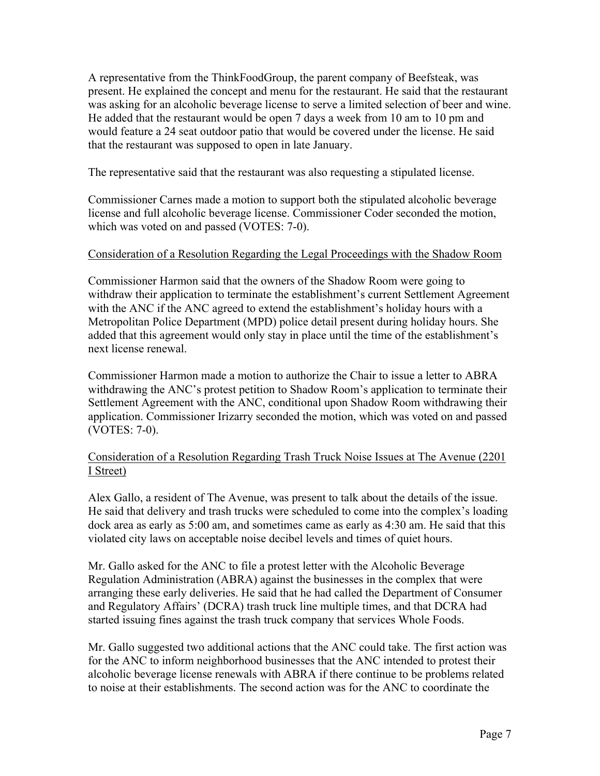A representative from the ThinkFoodGroup, the parent company of Beefsteak, was present. He explained the concept and menu for the restaurant. He said that the restaurant was asking for an alcoholic beverage license to serve a limited selection of beer and wine. He added that the restaurant would be open 7 days a week from 10 am to 10 pm and would feature a 24 seat outdoor patio that would be covered under the license. He said that the restaurant was supposed to open in late January.

The representative said that the restaurant was also requesting a stipulated license.

Commissioner Carnes made a motion to support both the stipulated alcoholic beverage license and full alcoholic beverage license. Commissioner Coder seconded the motion, which was voted on and passed (VOTES: 7-0).

### Consideration of a Resolution Regarding the Legal Proceedings with the Shadow Room

Commissioner Harmon said that the owners of the Shadow Room were going to withdraw their application to terminate the establishment's current Settlement Agreement with the ANC if the ANC agreed to extend the establishment's holiday hours with a Metropolitan Police Department (MPD) police detail present during holiday hours. She added that this agreement would only stay in place until the time of the establishment's next license renewal.

Commissioner Harmon made a motion to authorize the Chair to issue a letter to ABRA withdrawing the ANC's protest petition to Shadow Room's application to terminate their Settlement Agreement with the ANC, conditional upon Shadow Room withdrawing their application. Commissioner Irizarry seconded the motion, which was voted on and passed (VOTES: 7-0).

## Consideration of a Resolution Regarding Trash Truck Noise Issues at The Avenue (2201 I Street)

Alex Gallo, a resident of The Avenue, was present to talk about the details of the issue. He said that delivery and trash trucks were scheduled to come into the complex's loading dock area as early as 5:00 am, and sometimes came as early as 4:30 am. He said that this violated city laws on acceptable noise decibel levels and times of quiet hours.

Mr. Gallo asked for the ANC to file a protest letter with the Alcoholic Beverage Regulation Administration (ABRA) against the businesses in the complex that were arranging these early deliveries. He said that he had called the Department of Consumer and Regulatory Affairs' (DCRA) trash truck line multiple times, and that DCRA had started issuing fines against the trash truck company that services Whole Foods.

Mr. Gallo suggested two additional actions that the ANC could take. The first action was for the ANC to inform neighborhood businesses that the ANC intended to protest their alcoholic beverage license renewals with ABRA if there continue to be problems related to noise at their establishments. The second action was for the ANC to coordinate the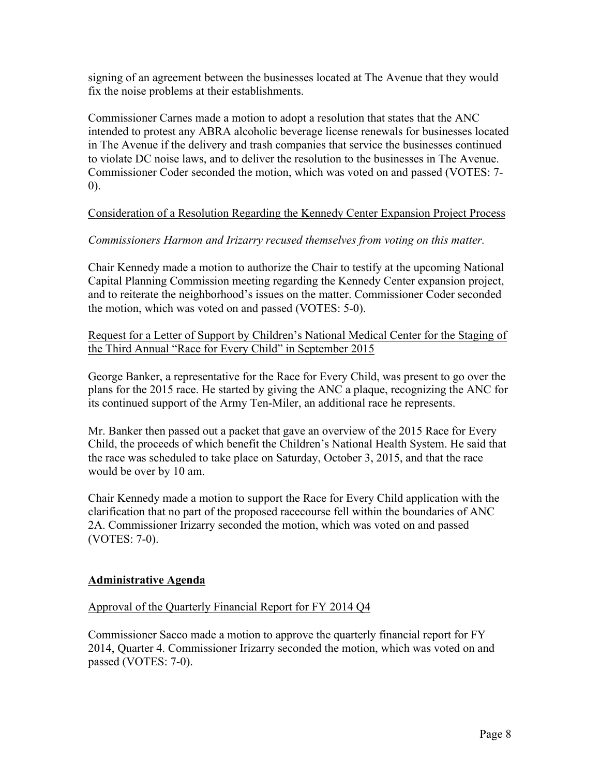signing of an agreement between the businesses located at The Avenue that they would fix the noise problems at their establishments.

Commissioner Carnes made a motion to adopt a resolution that states that the ANC intended to protest any ABRA alcoholic beverage license renewals for businesses located in The Avenue if the delivery and trash companies that service the businesses continued to violate DC noise laws, and to deliver the resolution to the businesses in The Avenue. Commissioner Coder seconded the motion, which was voted on and passed (VOTES: 7- 0).

## Consideration of a Resolution Regarding the Kennedy Center Expansion Project Process

# *Commissioners Harmon and Irizarry recused themselves from voting on this matter.*

Chair Kennedy made a motion to authorize the Chair to testify at the upcoming National Capital Planning Commission meeting regarding the Kennedy Center expansion project, and to reiterate the neighborhood's issues on the matter. Commissioner Coder seconded the motion, which was voted on and passed (VOTES: 5-0).

Request for a Letter of Support by Children's National Medical Center for the Staging of the Third Annual "Race for Every Child" in September 2015

George Banker, a representative for the Race for Every Child, was present to go over the plans for the 2015 race. He started by giving the ANC a plaque, recognizing the ANC for its continued support of the Army Ten-Miler, an additional race he represents.

Mr. Banker then passed out a packet that gave an overview of the 2015 Race for Every Child, the proceeds of which benefit the Children's National Health System. He said that the race was scheduled to take place on Saturday, October 3, 2015, and that the race would be over by 10 am.

Chair Kennedy made a motion to support the Race for Every Child application with the clarification that no part of the proposed racecourse fell within the boundaries of ANC 2A. Commissioner Irizarry seconded the motion, which was voted on and passed (VOTES: 7-0).

## **Administrative Agenda**

## Approval of the Quarterly Financial Report for FY 2014 Q4

Commissioner Sacco made a motion to approve the quarterly financial report for FY 2014, Quarter 4. Commissioner Irizarry seconded the motion, which was voted on and passed (VOTES: 7-0).